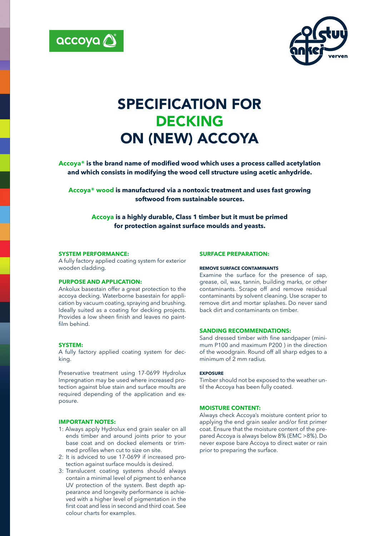



# SPECIFICATION FOR DECKING ON (NEW) ACCOYA

**Accoya® is the brand name of modified wood which uses a process called acetylation and which consists in modifying the wood cell structure using acetic anhydride.**

**Accoya® wood is manufactured via a nontoxic treatment and uses fast growing softwood from sustainable sources.** 

**Accoya is a highly durable, Class 1 timber but it must be primed for protection against surface moulds and yeasts.**

#### **SYSTEM PERFORMANCE:**

A fully factory applied coating system for exterior wooden cladding.

#### **PURPOSE AND APPLICATION:**

Ankolux basestain offer a great protection to the accoya decking. Waterborne basestain for application by vacuum coating, spraying and brushing. Ideally suited as a coating for decking projects. Provides a low sheen finish and leaves no paintfilm behind.

# **SYSTEM:**

A fully factory applied coating system for decking.

Preservative treatment using 17-0699 Hydrolux Impregnation may be used where increased protection against blue stain and surface moults are required depending of the application and exposure.

#### **IMPORTANT NOTES:**

- 1: Always apply Hydrolux end grain sealer on all ends timber and around joints prior to your base coat and on docked elements or trimmed profiles when cut to size on site.
- 2: It is adviced to use 17-0699 if increased protection against surface moulds is desired.
- 3: Translucent coating systems should always contain a minimal level of pigment to enhance UV protection of the system. Best depth appearance and longevity performance is achieved with a higher level of pigmentation in the first coat and less in second and third coat. See colour charts for examples.

#### **SURFACE PREPARATION:**

### **REMOVE SURFACE CONTAMINANTS**

Examine the surface for the presence of sap, grease, oil, wax, tannin, building marks, or other contaminants. Scrape off and remove residual contaminants by solvent cleaning. Use scraper to remove dirt and mortar splashes. Do never sand back dirt and contaminants on timber.

#### **SANDING RECOMMENDATIONS:**

Sand dressed timber with fine sandpaper (minimum P100 and maximum P200 ) in the direction of the woodgrain. Round off all sharp edges to a minimum of 2 mm radius.

#### **EXPOSURE**

Timber should not be exposed to the weather until the Accoya has been fully coated.

# **MOISTURE CONTENT:**

Always check Accoya's moisture content prior to applying the end grain sealer and/or first primer coat. Ensure that the moisture content of the prepared Accoya is always below 8% (EMC >8%). Do never expose bare Accoya to direct water or rain prior to preparing the surface.